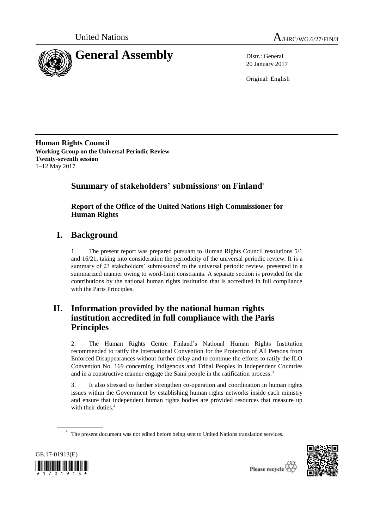

20 January 2017

Original: English

**Human Rights Council Working Group on the Universal Periodic Review Twenty-seventh session** 1–12 May 2017

# **Summary of stakeholders' submissions**<sup>1</sup> **on Finland**\*

## **Report of the Office of the United Nations High Commissioner for Human Rights**

# **I. Background**

1. The present report was prepared pursuant to Human Rights Council resolutions 5/1 and 16/21, taking into consideration the periodicity of the universal periodic review. It is a summary of 23 stakeholders' submissions<sup>2</sup> to the universal periodic review, presented in a summarized manner owing to word-limit constraints. A separate section is provided for the contributions by the national human rights institution that is accredited in full compliance with the Paris Principles.

# **II. Information provided by the national human rights institution accredited in full compliance with the Paris Principles**

2. The Human Rights Centre Finland's National Human Rights Institution recommended to ratify the International Convention for the Protection of All Persons from Enforced Disappearances without further delay and to continue the efforts to ratify the ILO Convention No. 169 concerning Indigenous and Tribal Peoples in Independent Countries and in a constructive manner engage the Sami people in the ratification process.<sup>3</sup>

3. It also stressed to further strengthen co-operation and coordination in human rights issues within the Government by establishing human rights networks inside each ministry and ensure that independent human rights bodies are provided resources that measure up with their duties. 4

The present document was not edited before being sent to United Nations translation services.



\*

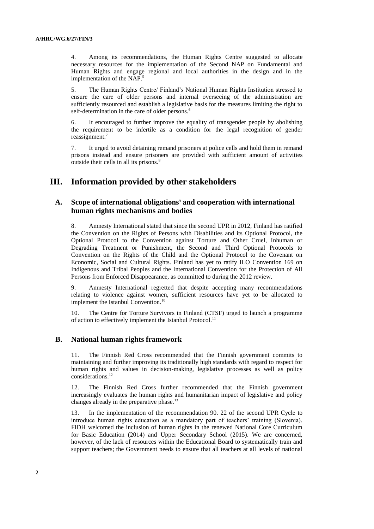4. Among its recommendations, the Human Rights Centre suggested to allocate necessary resources for the implementation of the Second NAP on Fundamental and Human Rights and engage regional and local authorities in the design and in the implementation of the NAP. 5

5. The Human Rights Centre/ Finland's National Human Rights Institution stressed to ensure the care of older persons and internal overseeing of the administration are sufficiently resourced and establish a legislative basis for the measures limiting the right to self-determination in the care of older persons.<sup>6</sup>

6. It encouraged to further improve the equality of transgender people by abolishing the requirement to be infertile as a condition for the legal recognition of gender reassignment. 7

7. It urged to avoid detaining remand prisoners at police cells and hold them in remand prisons instead and ensure prisoners are provided with sufficient amount of activities outside their cells in all its prisons.<sup>8</sup>

## **III. Information provided by other stakeholders**

## **A. Scope of international obligations**<sup>9</sup> **and cooperation with international human rights mechanisms and bodies**

8. Amnesty International stated that since the second UPR in 2012, Finland has ratified the Convention on the Rights of Persons with Disabilities and its Optional Protocol, the Optional Protocol to the Convention against Torture and Other Cruel, Inhuman or Degrading Treatment or Punishment, the Second and Third Optional Protocols to Convention on the Rights of the Child and the Optional Protocol to the Covenant on Economic, Social and Cultural Rights. Finland has yet to ratify ILO Convention 169 on Indigenous and Tribal Peoples and the International Convention for the Protection of All Persons from Enforced Disappearance, as committed to during the 2012 review.

9. Amnesty International regretted that despite accepting many recommendations relating to violence against women, sufficient resources have yet to be allocated to implement the Istanbul Convention.<sup>10</sup>

10. The Centre for Torture Survivors in Finland (CTSF) urged to launch a programme of action to effectively implement the Istanbul Protocol.<sup>11</sup>

### **B. National human rights framework**

11. The Finnish Red Cross recommended that the Finnish government commits to maintaining and further improving its traditionally high standards with regard to respect for human rights and values in decision-making, legislative processes as well as policy considerations.<sup>12</sup>

12. The Finnish Red Cross further recommended that the Finnish government increasingly evaluates the human rights and humanitarian impact of legislative and policy changes already in the preparative phase.<sup>13</sup>

13. In the implementation of the recommendation 90. 22 of the second UPR Cycle to introduce human rights education as a mandatory part of teachers' training (Slovenia). FIDH welcomed the inclusion of human rights in the renewed National Core Curriculum for Basic Education (2014) and Upper Secondary School (2015). We are concerned, however, of the lack of resources within the Educational Board to systematically train and support teachers; the Government needs to ensure that all teachers at all levels of national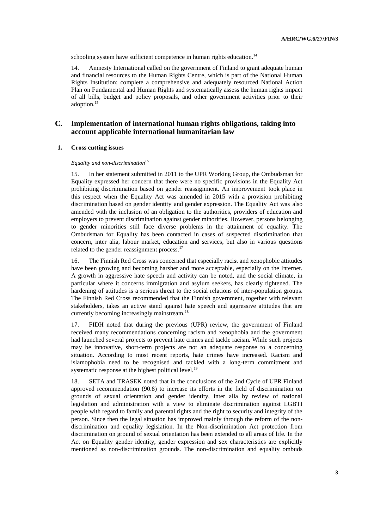schooling system have sufficient competence in human rights education.<sup>14</sup>

14. Amnesty International called on the government of Finland to grant adequate human and financial resources to the Human Rights Centre, which is part of the National Human Rights Institution; complete a comprehensive and adequately resourced National Action Plan on Fundamental and Human Rights and systematically assess the human rights impact of all bills, budget and policy proposals, and other government activities prior to their adoption.<sup>15</sup>

### **C. Implementation of international human rights obligations, taking into account applicable international humanitarian law**

#### **1. Cross cutting issues**

*Equality and non-discrimination<sup>16</sup>*

15. In her statement submitted in 2011 to the UPR Working Group, the Ombudsman for Equality expressed her concern that there were no specific provisions in the Equality Act prohibiting discrimination based on gender reassignment. An improvement took place in this respect when the Equality Act was amended in 2015 with a provision prohibiting discrimination based on gender identity and gender expression. The Equality Act was also amended with the inclusion of an obligation to the authorities, providers of education and employers to prevent discrimination against gender minorities. However, persons belonging to gender minorities still face diverse problems in the attainment of equality. The Ombudsman for Equality has been contacted in cases of suspected discrimination that concern, inter alia, labour market, education and services, but also in various questions related to the gender reassignment process.<sup>17</sup>

16. The Finnish Red Cross was concerned that especially racist and xenophobic attitudes have been growing and becoming harsher and more acceptable, especially on the Internet. A growth in aggressive hate speech and activity can be noted, and the social climate, in particular where it concerns immigration and asylum seekers, has clearly tightened. The hardening of attitudes is a serious threat to the social relations of inter-population groups. The Finnish Red Cross recommended that the Finnish government, together with relevant stakeholders, takes an active stand against hate speech and aggressive attitudes that are currently becoming increasingly mainstream.<sup>18</sup>

17. FIDH noted that during the previous (UPR) review, the government of Finland received many recommendations concerning racism and xenophobia and the government had launched several projects to prevent hate crimes and tackle racism. While such projects may be innovative, short-term projects are not an adequate response to a concerning situation. According to most recent reports, hate crimes have increased. Racism and islamophobia need to be recognised and tackled with a long-term commitment and systematic response at the highest political level.<sup>19</sup>

18. SETA and TRASEK noted that in the conclusions of the 2nd Cycle of UPR Finland approved recommendation (90.8) to increase its efforts in the field of discrimination on grounds of sexual orientation and gender identity, inter alia by review of national legislation and administration with a view to eliminate discrimination against LGBTI people with regard to family and parental rights and the right to security and integrity of the person. Since then the legal situation has improved mainly through the reform of the nondiscrimination and equality legislation. In the Non-discrimination Act protection from discrimination on ground of sexual orientation has been extended to all areas of life. In the Act on Equality gender identity, gender expression and sex characteristics are explicitly mentioned as non-discrimination grounds. The non-discrimination and equality ombuds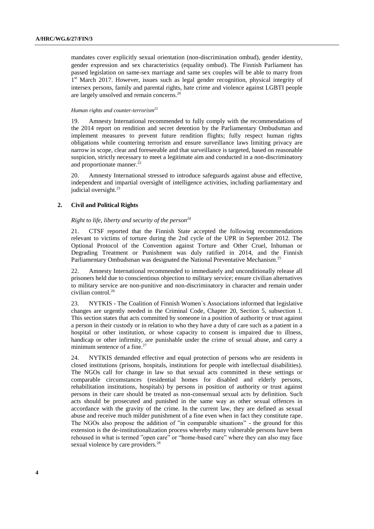mandates cover explicitly sexual orientation (non-discrimination ombud), gender identity, gender expression and sex characteristics (equality ombud). The Finnish Parliament has passed legislation on same-sex marriage and same sex couples will be able to marry from 1<sup>st</sup> March 2017. However, issues such as legal gender recognition, physical integrity of intersex persons, family and parental rights, hate crime and violence against LGBTI people are largely unsolved and remain concerns.<sup>20</sup>

#### *Human rights and counter-terrorism<sup>21</sup>*

19. Amnesty International recommended to fully comply with the recommendations of the 2014 report on rendition and secret detention by the Parliamentary Ombudsman and implement measures to prevent future rendition flights; fully respect human rights obligations while countering terrorism and ensure surveillance laws limiting privacy are narrow in scope, clear and foreseeable and that surveillance is targeted, based on reasonable suspicion, strictly necessary to meet a legitimate aim and conducted in a non-discriminatory and proportionate manner.<sup>22</sup>

20. Amnesty International stressed to introduce safeguards against abuse and effective, independent and impartial oversight of intelligence activities, including parliamentary and judicial oversight.<sup>23</sup>

#### **2. Civil and Political Rights**

### *Right to life, liberty and security of the person<sup>24</sup>*

21. CTSF reported that the Finnish State accepted the following recommendations relevant to victims of torture during the 2nd cycle of the UPR in September 2012. The Optional Protocol of the Convention against Torture and Other Cruel, Inhuman or Degrading Treatment or Punishment was duly ratified in 2014, and the Finnish Parliamentary Ombudsman was designated the National Preventative Mechanism.<sup>25</sup>

22. Amnesty International recommended to immediately and unconditionally release all prisoners held due to conscientious objection to military service; ensure civilian alternatives to military service are non-punitive and non-discriminatory in character and remain under civilian control.<sup>26</sup>

23. NYTKIS - The Coalition of Finnish Women´s Associations informed that legislative changes are urgently needed in the Criminal Code, Chapter 20, Section 5, subsection 1. This section states that acts committed by someone in a position of authority or trust against a person in their custody or in relation to who they have a duty of care such as a patient in a hospital or other institution, or whose capacity to consent is impaired due to illness, handicap or other infirmity, are punishable under the crime of sexual abuse, and carry a minimum sentence of a fine.<sup>27</sup>

24. NYTKIS demanded effective and equal protection of persons who are residents in closed institutions (prisons, hospitals, institutions for people with intellectual disabilities). The NGOs call for change in law so that sexual acts committed in these settings or comparable circumstances (residential homes for disabled and elderly persons, rehabilitation institutions, hospitals) by persons in position of authority or trust against persons in their care should be treated as non-consensual sexual acts by definition. Such acts should be prosecuted and punished in the same way as other sexual offences in accordance with the gravity of the crime. In the current law, they are defined as sexual abuse and receive much milder punishment of a fine even when in fact they constitute rape. The NGOs also propose the addition of "in comparable situations" - the ground for this extension is the de-institutionalization process whereby many vulnerable persons have been rehoused in what is termed "open care" or "home-based care" where they can also may face sexual violence by care providers.<sup>28</sup>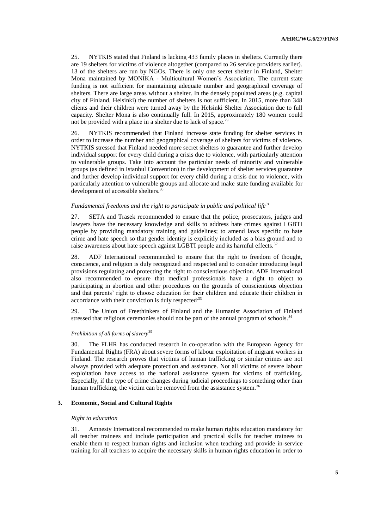25. NYTKIS stated that Finland is lacking 433 family places in shelters. Currently there are 19 shelters for victims of violence altogether (compared to 26 service providers earlier). 13 of the shelters are run by NGOs. There is only one secret shelter in Finland, Shelter Mona maintained by MONIKA - Multicultural Women's Association. The current state funding is not sufficient for maintaining adequate number and geographical coverage of shelters. There are large areas without a shelter. In the densely populated areas (e.g. capital city of Finland, Helsinki) the number of shelters is not sufficient. In 2015, more than 348 clients and their children were turned away by the Helsinki Shelter Association due to full capacity. Shelter Mona is also continually full. In 2015, approximately 180 women could not be provided with a place in a shelter due to lack of space.<sup>29</sup>

26. NYTKIS recommended that Finland increase state funding for shelter services in order to increase the number and geographical coverage of shelters for victims of violence. NYTKIS stressed that Finland needed more secret shelters to guarantee and further develop individual support for every child during a crisis due to violence, with particularly attention to vulnerable groups. Take into account the particular needs of minority and vulnerable groups (as defined in Istanbul Convention) in the development of shelter services guarantee and further develop individual support for every child during a crisis due to violence, with particularly attention to vulnerable groups and allocate and make state funding available for development of accessible shelters.<sup>3</sup>

#### *Fundamental freedoms and the right to participate in public and political life<sup>31</sup>*

27. SETA and Trasek recommended to ensure that the police, prosecutors, judges and lawyers have the necessary knowledge and skills to address hate crimes against LGBTI people by providing mandatory training and guidelines; to amend laws specific to hate crime and hate speech so that gender identity is explicitly included as a bias ground and to raise awareness about hate speech against LGBTI people and its harmful effects.<sup>32</sup>

28. ADF International recommended to ensure that the right to freedom of thought, conscience, and religion is duly recognized and respected and to consider introducing legal provisions regulating and protecting the right to conscientious objection. ADF International also recommended to ensure that medical professionals have a right to object to participating in abortion and other procedures on the grounds of conscientious objection and that parents' right to choose education for their children and educate their children in accordance with their conviction is duly respected.<sup>33</sup>

29. The Union of Freethinkers of Finland and the Humanist Association of Finland stressed that religious ceremonies should not be part of the annual program of schools.<sup>34</sup>

#### *Prohibition of all forms of slavery<sup>35</sup>*

30. The FLHR has conducted research in co-operation with the European Agency for Fundamental Rights (FRA) about severe forms of labour exploitation of migrant workers in Finland. The research proves that victims of human trafficking or similar crimes are not always provided with adequate protection and assistance. Not all victims of severe labour exploitation have access to the national assistance system for victims of trafficking. Especially, if the type of crime changes during judicial proceedings to something other than human trafficking, the victim can be removed from the assistance system.<sup>36</sup>

#### **3. Economic, Social and Cultural Rights**

#### *Right to education*

31. Amnesty International recommended to make human rights education mandatory for all teacher trainees and include participation and practical skills for teacher trainees to enable them to respect human rights and inclusion when teaching and provide in-service training for all teachers to acquire the necessary skills in human rights education in order to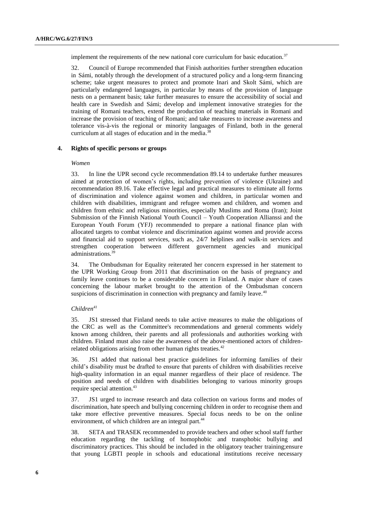implement the requirements of the new national core curriculum for basic education.<sup>37</sup>

32. Council of Europe recommended that Finish authorities further strengthen education in Sámi, notably through the development of a structured policy and a long-term financing scheme; take urgent measures to protect and promote Inari and Skolt Sámi, which are particularly endangered languages, in particular by means of the provision of language nests on a permanent basis; take further measures to ensure the accessibility of social and health care in Swedish and Sámi; develop and implement innovative strategies for the training of Romani teachers, extend the production of teaching materials in Romani and increase the provision of teaching of Romani; and take measures to increase awareness and tolerance vis-à-vis the regional or minority languages of Finland, both in the general curriculum at all stages of education and in the media.<sup>38</sup>

#### **4. Rights of specific persons or groups**

#### *Women*

33. In line the UPR second cycle recommendation 89.14 to undertake further measures aimed at protection of women's rights, including prevention of violence (Ukraine) and recommendation 89.16. Take effective legal and practical measures to eliminate all forms of discrimination and violence against women and children, in particular women and children with disabilities, immigrant and refugee women and children, and women and children from ethnic and religious minorities, especially Muslims and Roma (Iran); Joint Submission of the Finnish National Youth Council – Youth Cooperation Allianssi and the European Youth Forum (YFJ) recommended to prepare a national finance plan with allocated targets to combat violence and discrimination against women and provide access and financial aid to support services, such as, 24/7 helplines and walk-in services and strengthen cooperation between different government agencies and municipal administrations. 39

34. The Ombudsman for Equality reiterated her concern expressed in her statement to the UPR Working Group from 2011 that discrimination on the basis of pregnancy and family leave continues to be a considerable concern in Finland. A major share of cases concerning the labour market brought to the attention of the Ombudsman concern suspicions of discrimination in connection with pregnancy and family leave.<sup>40</sup>

#### *Children<sup>41</sup>*

35. JS1 stressed that Finland needs to take active measures to make the obligations of the CRC as well as the Committee's recommendations and general comments widely known among children, their parents and all professionals and authorities working with children. Finland must also raise the awareness of the above-mentioned actors of childrenrelated obligations arising from other human rights treaties.<sup>42</sup>

36. JS1 added that national best practice guidelines for informing families of their child's disability must be drafted to ensure that parents of children with disabilities receive high-quality information in an equal manner regardless of their place of residence. The position and needs of children with disabilities belonging to various minority groups require special attention.<sup>43</sup>

37. JS1 urged to increase research and data collection on various forms and modes of discrimination, hate speech and bullying concerning children in order to recognise them and take more effective preventive measures. Special focus needs to be on the online environment, of which children are an integral part.<sup>44</sup>

38. SETA and TRASEK recommended to provide teachers and other school staff further education regarding the tackling of homophobic and transphobic bullying and discriminatory practices. This should be included in the obligatory teacher training;ensure that young LGBTI people in schools and educational institutions receive necessary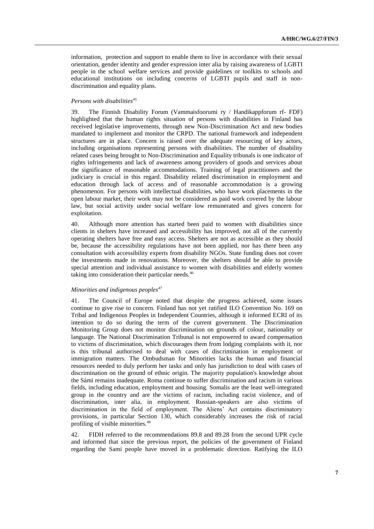information, protection and support to enable them to live in accordance with their sexual orientation, gender identity and gender expression inter alia by raising awareness of LGBTI people in the school welfare services and provide guidelines or toolkits to schools and educational institutions on including concerns of LGBTI pupils and staff in nondiscrimination and equality plans.

#### *Persons with disabilities<sup>45</sup>*

39. The Finnish Disability Forum (Vammaisfoorumi ry / Handikappforum rf- FDF) highlighted that the human rights situation of persons with disabilities in Finland has received legislative improvements, through new Non-Discrimination Act and new bodies mandated to implement and monitor the CRPD. The national framework and independent structures are in place. Concern is raised over the adequate resourcing of key actors, including organisations representing persons with disabilities. The number of disability related cases being brought to Non-Discrimination and Equality tribunals is one indicator of rights infringements and lack of awareness among providers of goods and services about the significance of reasonable accommodations. Training of legal practitioners and the judiciary is crucial in this regard. Disability related discrimination in employment and education through lack of access and of reasonable accommodation is a growing phenomenon. For persons with intellectual disabilities, who have work placements in the open labour market, their work may not be considered as paid work covered by the labour law, but social activity under social welfare low remunerated and gives concern for exploitation.

40. Although more attention has started been paid to women with disabilities since clients in shelters have increased and accessibility has improved, not all of the currently operating shelters have free and easy access. Shelters are not as accessible as they should be, because the accessibility regulations have not been applied, nor has there been any consultation with accessibility experts from disability NGOs. State funding does not cover the investments made in renovations. Moreover, the shelters should be able to provide special attention and individual assistance to women with disabilities and elderly women taking into consideration their particular needs.<sup>46</sup>

#### *Minorities and indigenous peoples<sup>47</sup>*

41. The Council of Europe noted that despite the progress achieved, some issues continue to give rise to concern. Finland has not yet ratified ILO Convention No. 169 on Tribal and Indigenous Peoples in Independent Countries, although it informed ECRI of its intention to do so during the term of the current government. The Discrimination Monitoring Group does not monitor discrimination on grounds of colour, nationality or language. The National Discrimination Tribunal is not empowered to award compensation to victims of discrimination, which discourages them from lodging complaints with it, nor is this tribunal authorised to deal with cases of discrimination in employment or immigration matters. The Ombudsman for Minorities lacks the human and financial resources needed to duly perform her tasks and only has jurisdiction to deal with cases of discrimination on the ground of ethnic origin. The majority population's knowledge about the Sámi remains inadequate. Roma continue to suffer discrimination and racism in various fields, including education, employment and housing. Somalis are the least well-integrated group in the country and are the victims of racism, including racist violence, and of discrimination, inter alia, in employment. Russian-speakers are also victims of discrimination in the field of employment. The Aliens' Act contains discriminatory provisions, in particular Section 130, which considerably increases the risk of racial profiling of visible minorities.<sup>48</sup>

42. FIDH referred to the recommendations 89.8 and 89.28 from the second UPR cycle and informed that since the previous report, the policies of the government of Finland regarding the Sami people have moved in a problematic direction. Ratifying the ILO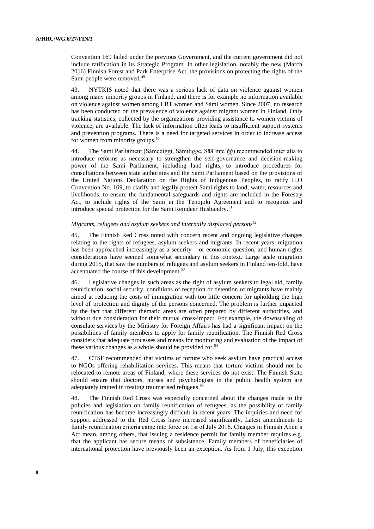Convention 169 failed under the previous Government, and the current government did not include ratification in its Strategic Program. In other legislation, notably the new (March 2016) Finnish Forest and Park Enterprise Act, the provisions on protecting the rights of the Sami people were removed.<sup>49</sup>

43. NYTKIS noted that there was a serious lack of data on violence against women among many minority groups in Finland, and there is for example no information available on violence against women among LBT women and Sámi women. Since 2007, no research has been conducted on the prevalence of violence against migrant women in Finland. Only tracking statistics, collected by the organizations providing assistance to women victims of violence, are available. The lack of information often leads to insufficient support systems and prevention programs. There is a need for targeted services in order to increase access for women from minority groups.<sup>50</sup>

44. The Sami Parliament (Sámediggi, Sämitigge, Sää´mte´ǧǧ) recommended inter alia to introduce reforms as necessary to strengthen the self-governance and decision-making power of the Sami Parliament, including land rights, to introduce procedures for consultations between state authorities and the Sami Parliament based on the provisions of the United Nations Declaration on the Rights of Indigenous Peoples, to ratify ILO Convention No. 169, to clarify and legally protect Sami rights to land, water, resources and livelihoods, to ensure the fundamental safeguards and rights are included in the Forestry Act, to include rights of the Sami in the Tenojoki Agreement and to recognize and introduce special protection for the Sami Reindeer Husbandry.<sup>51</sup>

#### *Migrants, refugees and asylum seekers and internally displaced persons<sup>52</sup>*

45. The Finnish Red Cross noted with concern recent and ongoing legislative changes relating to the rights of refugees, asylum seekers and migrants. In recent years, migration has been approached increasingly as a security – or economic question, and human rights considerations have seemed somewhat secondary in this context. Large scale migration during 2015, that saw the numbers of refugees and asylum seekers in Finland ten-fold, have accentuated the course of this development.<sup>53</sup>

46. Legislative changes in such areas as the right of asylum seekers to legal aid, family reunification, social security, conditions of reception or detention of migrants have mainly aimed at reducing the costs of immigration with too little concern for upholding the high level of protection and dignity of the persons concerned. The problem is further impacted by the fact that different thematic areas are often prepared by different authorities, and without due consideration for their mutual cross-impact. For example, the downscaling of consulate services by the Ministry for Foreign Affairs has had a significant impact on the possibilities of family members to apply for family reunification. The Finnish Red Cross considers that adequate processes and means for monitoring and evaluation of the impact of these various changes as a whole should be provided for.<sup>54</sup>

47. CTSF recommended that victims of torture who seek asylum have practical access to NGOs offering rehabilitation services. This means that torture victims should not be relocated to remote areas of Finland, where these services do not exist. The Finnish State should ensure that doctors, nurses and psychologists in the public health system are adequately trained in treating traumatised refugees.<sup>55</sup>

48. The Finnish Red Cross was especially concerned about the changes made to the policies and legislation on family reunification of refugees, as the possibility of family reunification has become increasingly difficult in recent years. The inquiries and need for support addressed to the Red Cross have increased significantly. Latest amendments to family reunification criteria came into force on 1st of July 2016. Changes in Finnish Alien's Act mean, among others, that issuing a residence permit for family member requires e.g. that the applicant has secure means of subsistence. Family members of beneficiaries of international protection have previously been an exception. As from 1 July, this exception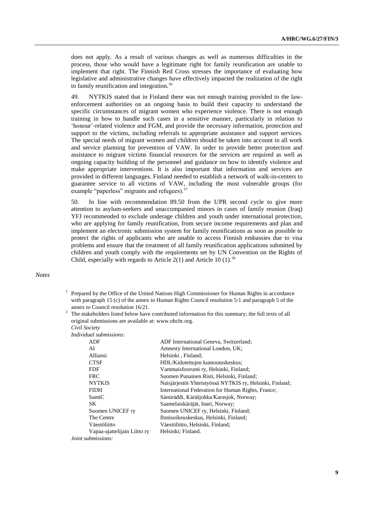does not apply. As a result of various changes as well as numerous difficulties in the process, those who would have a legitimate right for family reunification are unable to implement that right. The Finnish Red Cross stresses the importance of evaluating how legislative and administrative changes have effectively impacted the realization of the right to family reunification and integration.<sup>56</sup>

49. NYTKIS stated that in Finland there was not enough training provided to the lawenforcement authorities on an ongoing basis to build their capacity to understand the specific circumstances of migrant women who experience violence. There is not enough training in how to handle such cases in a sensitive manner, particularly in relation to 'honour'-related violence and FGM, and provide the necessary information, protection and support to the victims, including referrals to appropriate assistance and support services. The special needs of migrant women and children should be taken into account in all work and service planning for prevention of VAW. In order to provide better protection and assistance to migrant victims financial resources for the services are required as well as ongoing capacity building of the personnel and guidance on how to identify violence and make appropriate interventions. It is also important that information and services are provided in different languages. Finland needed to establish a network of walk-in-centers to guarantee service to all victims of VAW, including the most vulnerable groups (for example "paperless" migrants and refugees).<sup>5</sup>

50. In line with recommendation 89.50 from the UPR second cycle to give more attention to asylum-seekers and unaccompanied minors in cases of family reunion (Iraq) YFJ recommended to exclude underage children and youth under international protection, who are applying for family reunification, from secure income requirements and plan and implement an electronic submission system for family reunifications as soon as possible to protect the rights of applicants who are unable to access Finnish embassies due to visa problems and ensure that the treatment of all family reunification applications submitted by children and youth comply with the requirements set by UN Convention on the Rights of Child, especially with regards to Article  $2(1)$  and Article 10  $(1)$ .<sup>58</sup>

#### *Notes*

- <sup>1</sup> Prepared by the Office of the United Nations High Commissioner for Human Rights in accordance with paragraph 15 (c) of the annex to Human Rights Council resolution 5/1 and paragraph 5 of the annex to Council resolution 16/21.
- $2$  The stakeholders listed below have contributed information for this summary; the full texts of all original submissions are available at: www.ohchr.org. *Civil Society*

|  |  | Individual submissions: |  |
|--|--|-------------------------|--|

| <b>ADF</b>                   | ADF International Geneva, Switzerland;                   |
|------------------------------|----------------------------------------------------------|
| AI                           | Amnesty International London, UK;                        |
| Alliansi                     | Helsinki, Finland;                                       |
| <b>CTSF</b>                  | HDL/Kidutettujen kuntoutuskeskus:                        |
| <b>FDF</b>                   | Vammaisfoorumi ry, Helsinki, Finland;                    |
| <b>FRC</b>                   | Suomen Punainen Risti, Helsinki, Finland;                |
| <b>NYTKIS</b>                | Naisjärjestöt Yhteistyössä NYTKIS ry, Helsinki, Finland; |
| <b>FIDH</b>                  | International Federation for Human Rights, France;       |
| SamiC                        | Sámiráddi, Kárášjohka/Karasjok, Norway;                  |
| SK.                          | Saamelaiskäräjät, Inari, Norway;                         |
| Suomen UNICEF ry             | Suomen UNICEF ry, Helsinki, Finland;                     |
| The Centre                   | Ihmisoikeuskeskus, Helsinki, Finland;                    |
| Väestöliitto                 | Väestöliitto, Helsinki, Finland;                         |
| Vapaa-ajattelijain Liitto ry | Helsinki; Finland.                                       |
| <i>Joint submissions:</i>    |                                                          |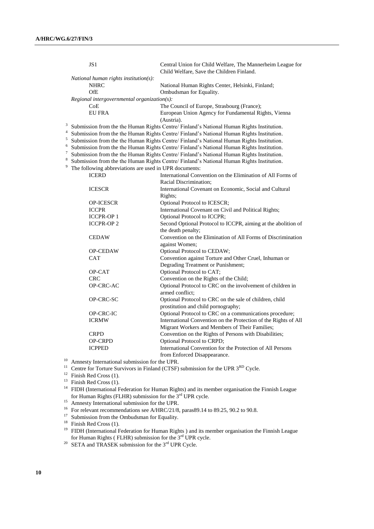|                         | JS1                                                                                                                                                                                  | Central Union for Child Welfare, The Mannerheim League for<br>Child Welfare, Save the Children Finland. |  |  |  |  |  |  |
|-------------------------|--------------------------------------------------------------------------------------------------------------------------------------------------------------------------------------|---------------------------------------------------------------------------------------------------------|--|--|--|--|--|--|
|                         | National human rights institution(s):                                                                                                                                                |                                                                                                         |  |  |  |  |  |  |
|                         | <b>NHRC</b>                                                                                                                                                                          | National Human Rights Center, Helsinki, Finland;                                                        |  |  |  |  |  |  |
|                         | OfE                                                                                                                                                                                  | Ombudsman for Equality.                                                                                 |  |  |  |  |  |  |
|                         | Regional intergovernmental organization(s):                                                                                                                                          |                                                                                                         |  |  |  |  |  |  |
|                         | CoE                                                                                                                                                                                  |                                                                                                         |  |  |  |  |  |  |
|                         |                                                                                                                                                                                      | The Council of Europe, Strasbourg (France);                                                             |  |  |  |  |  |  |
|                         | <b>EU FRA</b>                                                                                                                                                                        | European Union Agency for Fundamental Rights, Vienna                                                    |  |  |  |  |  |  |
| 3                       |                                                                                                                                                                                      | (Austria).                                                                                              |  |  |  |  |  |  |
| $\overline{\mathbf{4}}$ | Submission from the the Human Rights Centre/Finland's National Human Rights Institution.<br>Submission from the the Human Rights Centre/Finland's National Human Rights Institution. |                                                                                                         |  |  |  |  |  |  |
| 5                       |                                                                                                                                                                                      |                                                                                                         |  |  |  |  |  |  |
| 6                       |                                                                                                                                                                                      | Submission from the the Human Rights Centre/ Finland's National Human Rights Institution.               |  |  |  |  |  |  |
| $\overline{7}$          |                                                                                                                                                                                      | Submission from the the Human Rights Centre/ Finland's National Human Rights Institution.               |  |  |  |  |  |  |
| 8                       |                                                                                                                                                                                      | Submission from the the Human Rights Centre/Finland's National Human Rights Institution.                |  |  |  |  |  |  |
|                         |                                                                                                                                                                                      | Submission from the the Human Rights Centre/ Finland's National Human Rights Institution.               |  |  |  |  |  |  |
|                         | The following abbreviations are used in UPR documents:                                                                                                                               |                                                                                                         |  |  |  |  |  |  |
|                         | <b>ICERD</b>                                                                                                                                                                         | International Convention on the Elimination of All Forms of                                             |  |  |  |  |  |  |
|                         |                                                                                                                                                                                      | Racial Discrimination;                                                                                  |  |  |  |  |  |  |
|                         | <b>ICESCR</b>                                                                                                                                                                        | International Covenant on Economic, Social and Cultural                                                 |  |  |  |  |  |  |
|                         |                                                                                                                                                                                      | Rights;                                                                                                 |  |  |  |  |  |  |
|                         | <b>OP-ICESCR</b>                                                                                                                                                                     | Optional Protocol to ICESCR;                                                                            |  |  |  |  |  |  |
|                         | <b>ICCPR</b>                                                                                                                                                                         | International Covenant on Civil and Political Rights;                                                   |  |  |  |  |  |  |
|                         | <b>ICCPR-OP1</b>                                                                                                                                                                     | Optional Protocol to ICCPR;                                                                             |  |  |  |  |  |  |
|                         | <b>ICCPR-OP2</b>                                                                                                                                                                     | Second Optional Protocol to ICCPR, aiming at the abolition of                                           |  |  |  |  |  |  |
|                         |                                                                                                                                                                                      | the death penalty;                                                                                      |  |  |  |  |  |  |
|                         | <b>CEDAW</b>                                                                                                                                                                         | Convention on the Elimination of All Forms of Discrimination                                            |  |  |  |  |  |  |
|                         |                                                                                                                                                                                      | against Women;                                                                                          |  |  |  |  |  |  |
|                         | <b>OP-CEDAW</b>                                                                                                                                                                      | Optional Protocol to CEDAW;                                                                             |  |  |  |  |  |  |
|                         | <b>CAT</b>                                                                                                                                                                           | Convention against Torture and Other Cruel, Inhuman or                                                  |  |  |  |  |  |  |
|                         |                                                                                                                                                                                      | Degrading Treatment or Punishment;                                                                      |  |  |  |  |  |  |
|                         | OP-CAT                                                                                                                                                                               | Optional Protocol to CAT;                                                                               |  |  |  |  |  |  |
|                         | <b>CRC</b>                                                                                                                                                                           | Convention on the Rights of the Child;                                                                  |  |  |  |  |  |  |
|                         | OP-CRC-AC                                                                                                                                                                            | Optional Protocol to CRC on the involvement of children in                                              |  |  |  |  |  |  |
|                         |                                                                                                                                                                                      | armed conflict:                                                                                         |  |  |  |  |  |  |
|                         | OP-CRC-SC                                                                                                                                                                            | Optional Protocol to CRC on the sale of children, child                                                 |  |  |  |  |  |  |
|                         |                                                                                                                                                                                      | prostitution and child pornography;                                                                     |  |  |  |  |  |  |
|                         | OP-CRC-IC                                                                                                                                                                            | Optional Protocol to CRC on a communications procedure;                                                 |  |  |  |  |  |  |
|                         | <b>ICRMW</b>                                                                                                                                                                         | International Convention on the Protection of the Rights of All                                         |  |  |  |  |  |  |
|                         |                                                                                                                                                                                      | Migrant Workers and Members of Their Families;                                                          |  |  |  |  |  |  |
|                         | <b>CRPD</b>                                                                                                                                                                          | Convention on the Rights of Persons with Disabilities;                                                  |  |  |  |  |  |  |
|                         | <b>OP-CRPD</b>                                                                                                                                                                       | Optional Protocol to CRPD;                                                                              |  |  |  |  |  |  |
|                         | <b>ICPPED</b>                                                                                                                                                                        | International Convention for the Protection of All Persons                                              |  |  |  |  |  |  |
|                         |                                                                                                                                                                                      | from Enforced Disappearance.                                                                            |  |  |  |  |  |  |
| 10                      | Amnesty International submission for the UPR.                                                                                                                                        |                                                                                                         |  |  |  |  |  |  |
|                         | 11<br>Centre for Torture Survivors in Finland (CTSF) submission for the UPR 3RD Cycle.                                                                                               |                                                                                                         |  |  |  |  |  |  |

 $12$  Finish Red Cross (1).

 $13$  Finish Red Cross (1).

<sup>14</sup> FIDH (International Federation for Human Rights) and its member organisation the Finnish League for Human Rights (FLHR) submission for the 3<sup>rd</sup> UPR cycle.

<sup>15</sup> Amnesty International submission for the UPR.

<sup>16</sup> For relevant recommendations see A/HRC/21/8, paras89.14 to 89.25, 90.2 to 90.8.

<sup>17</sup> Submission from the Ombudsman for Equality.

<sup>18</sup> Finish Red Cross (1).

<sup>19</sup> FIDH (International Federation for Human Rights ) and its member organisation the Finnish League for Human Rights ( FLHR) submission for the 3<sup>rd</sup> UPR cycle.

<sup>20</sup> SETA and TRASEK submission for the  $3<sup>rd</sup>$  UPR Cycle.